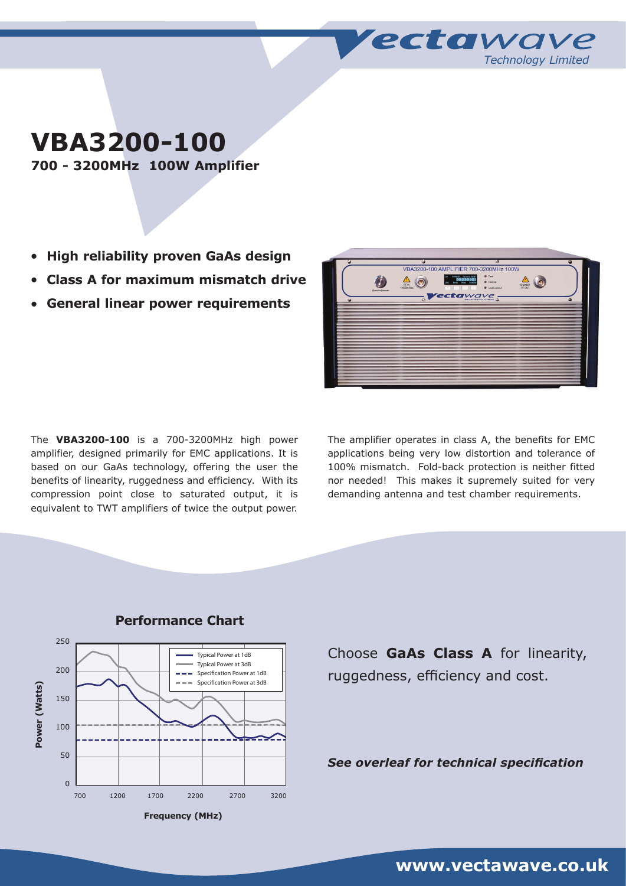**VBA3200-100**

**700 - 3200MHz 100W Amplifier**

- **High reliability proven GaAs design**
- <sup>l</sup> **Class A for maximum mismatch drive**
- <sup>l</sup> **General linear power requirements**

The **VBA3200-100** is a 700-3200MHz high power amplifier, designed primarily for EMC applications. It is based on our GaAs technology, offering the user the benefits of linearity, ruggedness and efficiency. With its compression point close to saturated output, it is equivalent to TWT amplifiers of twice the output power.

The amplifier operates in class A, the benefits for EMC applications being very low distortion and tolerance of 100% mismatch. Fold-back protection is neither fitted nor needed! This makes it supremely suited for very demanding antenna and test chamber requirements.



## **Performance Chart**

Choose **GaAs Class A** for linearity, ruggedness, efficiency and cost.

*See overleaf for technical specification*

**www.vectawave.co.uk**